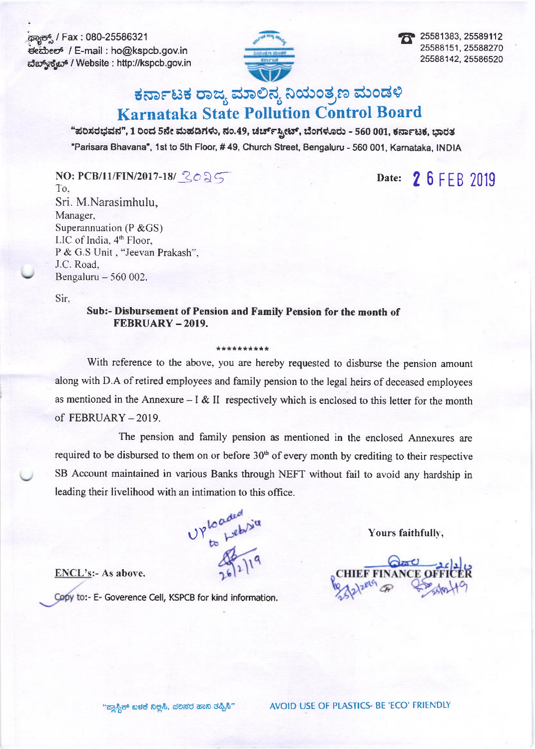.<br>ಥ್<del>ಯಾನ್</del>ಸ್ / Fax : 080-25586321 de&eoe / E-mail : ho@kspcb.gov.in ಮೊತ್ತನ್ಯಬ್ / Website : http://kspcb.gov.in



**the 25581383, 25589112** 25588151, 25588270 25588142,25586520

# ಕರ್ನಾಟಕ ರಾಜ್ಯ ಮಾಲಿನ್ಯ ನಿಯಂತ್ರಣ ಮಂಡಳಿ Karnataka State Pollution Control Board

"ಪರಿಸರಭವನ", 1 ರಿಂದ 5ನೇ ಮಹಡಿಗಳು, ನಂ.49, ಚರ್ಚ್ಸ್ಟೀಟ್, ಬೆಂಗಳೂರು - 560 001, ಕರ್ನಾಟಕ, ಭಾರತ 'Parisara Bhavana', 1st to 5th Floor, # 49, Church Street, Bengaluru - 560 001, Kamataka, INDIA

NO: PCB/11/FIN/2017-18/ $\mathcal{Q} \odot \mathcal{Q}$ To. Sri. M.Narasimhulu, Manager, Superannuation (P &GS) LIC of India. 4'h Floor, P & G.S Unit . "Jeevan Prakash", J.C. Road.

Date: **26 FEB** 2019

Sir.

Bengaluru - 560 002.

# Sub:- Disbursement of Pension and Family Pension for the month of FEBRUARY - 2019.

#### \*\*\*\*\*\*\*\*\*

With reference to the above, you are hereby requested to disburse the pension amount along with D.A of retired employees and family pension to the legal heirs of deceased employees as mentioned in the Annexure  $-1 & 1$  is respectively which is enclosed to this letter for the month of FEBRUARY-2019.

The pension and family pension as mentioned in the enclosed Annexures are required to be disbursed to them on or before  $30<sup>th</sup>$  of every month by crediting to their respective SB Account maintained in various Banks through NEFT without fail to avoid any hardship in leading their livelihood with an intimation to this office.

Upto adelaire

ENCL's:- As above.

Copy to:- E- Goverence Cell, KSPCB for kind information.

Yours faithfully,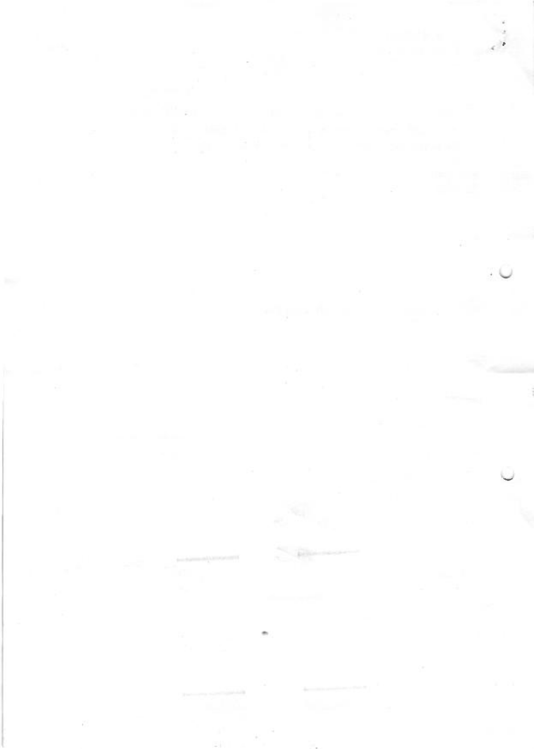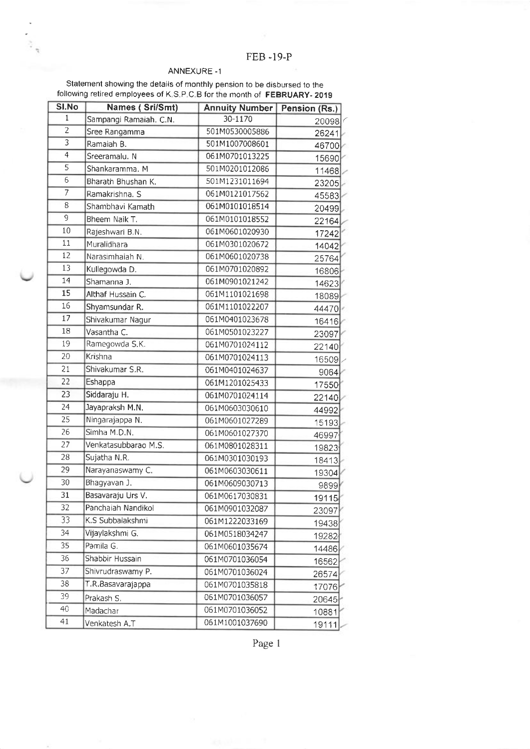### ANNEXURE -1

Statement showing the details of monthly pension to be disbursed to the following retired employees of K,S,P,C,B for the month of **FEBRUARY- 2019** 

| SI.No                     | Names (Sri/Smt)        | <b>Annuity Number</b> | Pension (Rs.) |
|---------------------------|------------------------|-----------------------|---------------|
| 1                         | Sampangi Ramaiah. C.N. | 30-1170               | 20098         |
| $\overline{2}$            | Sree Rangamma          | 501M0530005886        | 26241         |
| $\overline{\overline{3}}$ | Ramaiah B.             | 501M1007008601        | 46700         |
| $\overline{4}$            | Sreeramalu. N          | 061M0701013225        | 15690         |
| $\overline{5}$            | Shankaramma. M         | 501M0201012086        | 11468         |
| $\overline{6}$            | Bharath Bhushan K.     | 501M1231011694        | 23205         |
| 7                         | Ramakrishna. S         | 061M0121017562        | 45583         |
| 8                         | Shambhavi Kamath       | 061M0101018514        | 20499         |
| $\overline{9}$            | Bheem Naik T.          | 061M0101018552        | 22164         |
| 10                        | Rajeshwari B.N.        | 061M0601020930        | 17242         |
| 11                        | Muralidhara            | 061M0301020672        | 14042         |
| $\overline{12}$           | Narasimhaiah N.        | 061M0601020738        | 25764         |
| 13                        | Kullegowda D.          | 061M0701020892        | 16806         |
| 14                        | Shamanna J.            | 061M0901021242        | 14623         |
| 15                        | Althaf Hussain C.      | 061M1101021698        | 18089         |
| 16                        | Shyamsundar R.         | 061M1101022207        | 44470         |
| 17                        | Shivakumar Nagur       | 061M0401023678        | 16416         |
| 18                        | Vasantha C.            | 061M0501023227        | 23097         |
| 19                        | Ramegowda S.K.         | 061M0701024112        | 22140         |
| 20                        | Krishna                | 061M0701024113        | 16509         |
| 21                        | Shivakumar S.R.        | 061M0401024637        | 9064          |
| 22                        | Eshappa                | 061M1201025433        | 17550         |
| $\overline{23}$           | Siddaraju H.           | 061M0701024114        | 22140         |
| 24                        | Jayapraksh M.N.        | 061M0603030610        | 44992         |
| 25                        | Ningarajappa N.        | 061M0601027289        | 15193         |
| 26                        | Simha M.D.N.           | 061M0601027370        | 46997         |
| 27                        | Venkatasubbarao M.S.   | 061M0801028311        | 19823         |
| 28                        | Sujatha N.R.           | 061M0301030193        | 18413         |
| 29                        | Narayanaswamy C.       | 061M0603030611        | 19304         |
| 30                        | Bhagyavan J.           | 061M0609030713        | 9899          |
| $\overline{31}$           | Basavaraju Urs V.      | 061M0617030831        | 19115         |
| 32                        | Panchaiah Nandikol     | 061M0901032087        | 23097         |
| 33                        | K.S Subbalakshmi       | 061M1222033169        | 19438         |
| 34                        | Vijaylakshmi G.        | 061M0518034247        | 19282         |
| 35                        | Pamila G.              | 061M0601035674        | 14486         |
| 36                        | Shabbir Hussain        | 061M0701036054        | 16562         |
| 37                        | Shivrudraswamy P.      | 061M0701036024        | 26574         |
| 38                        | T.R.Basavarajappa      | 061M0701035818        | 17076         |
| 39                        | Prakash S.             | 061M0701036057        | 20645         |
| 40                        | Madachar               | 061M0701036052        | 10881         |
| 41                        |                        | 061M1001037690        |               |
|                           | Venkatesh A.T          |                       | 19111         |

Page I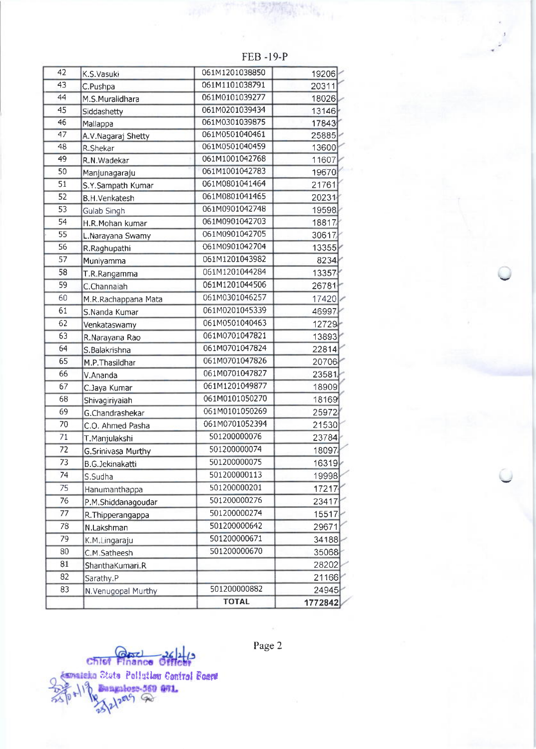| 42              | K.S.Vasuki             | 061M1201038850 | 19206   |
|-----------------|------------------------|----------------|---------|
| 43              | C.Pushpa               | 061M1101038791 | 20311   |
| 44              | M.S.Muralidhara        | 061M0101039277 | 18026   |
| 45              | Siddashetty            | 061M0201039434 | 13146   |
| $\overline{46}$ | Mallappa               | 061M0301039875 | 17843   |
| $\overline{47}$ | A.V.Nagaraj Shetty     | 061M0501040461 | 25885   |
| 48              | R.Shekar               | 061M0501040459 | 13600   |
| 49              | R.N.Wadekar            | 061M1001042768 | 11607   |
| $\overline{50}$ | Manjunagaraju          | 061M1001042783 | 19670   |
| 51              | S.Y.Sampath Kumar      | 061M0801041464 | 21761   |
| 52              | <b>B.H.Venkatesh</b>   | 061M0801041465 | 20231   |
| $\overline{53}$ | Gulab Singh            | 061M0901042748 | 19598   |
| 54              | H.R.Mohan kumar        | 061M0901042703 | 18817   |
| 55              | L.Narayana Swamy       | 061M0901042705 | 30617   |
| 56              | R.Raghupathi           | 061M0901042704 | 13355   |
| 57              | Muniyamma              | 061M1201043982 | 8234    |
| 58              | T.R.Rangamma           | 061M1201044284 | 13357   |
| 59              | C.Channaiah            | 061M1201044506 | 26781   |
| 60              | M.R.Rachappana Mata    | 061M0301046257 | 17420   |
| 61              | S.Nanda Kumar          | 061M0201045339 | 46997   |
| 62              | Venkataswamy           | 061M0501040463 | 12729   |
| 63              | R.Narayana Rao         | 061M0701047821 | 13893   |
| 64              | S.Balakrishna          | 061M0701047824 | 22814   |
| 65              | M.P. Thasildhar        | 061M0701047826 | 20706   |
| 66              | V.Ananda               | 061M0701047827 | 23581   |
| 67              | C.Jaya Kumar           | 061M1201049877 | 18909   |
| 68              | Shivagiriyaiah         | 061M0101050270 | 18169   |
| $\overline{69}$ | G.Chandrashekar        | 061M0101050269 | 25972   |
| 70              | C.O. Ahmed Pasha       | 061M0701052394 | 21530   |
| 71              | T.Manjulakshi          | 501200000076   | 23784   |
| 72              | G.Srinivasa Murthy     | 501200000074   | 18097   |
| 73              | <b>B.G.Jekinakatti</b> | 501200000075   | 16319   |
| 74              | S.Sudha                | 501200000113   | 19998   |
| 75              | Hanumanthappa          | 501200000201   | 17217   |
| 76              | P.M.Shiddanagoudar     | 501200000276   | 23417   |
| 77              |                        | 501200000274   | 15517   |
| 78              | R. Thipperangappa      | 501200000642   | 29671   |
| 79              | N.Lakshman             | 501200000671   |         |
| 80              | K.M.Lingaraju          | 501200000670   | 34188   |
| 81              | C.M.Satheesh           |                | 35068   |
|                 | ShanthaKumari.R        |                | 28202   |
| 82              | Sarathy.P              |                | 21166   |
| 83              | N.Venugopal Murthy     | 501200000882   | 24945   |
|                 |                        | <b>TOTAL</b>   | 1772842 |

FEB -I9-P

WE IN

Chief Finance Officer<br>
Expansion State Pollution Control Board<br>  $\frac{26}{10}$ e || {| Bangalose-569 av1 **Chief** 大文  $\gamma$ 

Page 2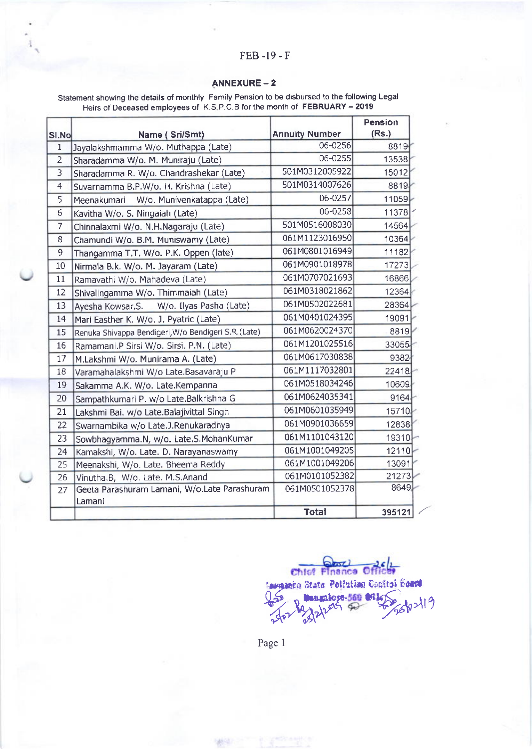# FEB.I9. F

## ANNEXURE - 2

| SI.No          | Name (Sri/Smt)                                         | <b>Annuity Number</b> | <b>Pension</b><br>(Rs.) |
|----------------|--------------------------------------------------------|-----------------------|-------------------------|
| $\mathbf{1}$   | Jayalakshmamma W/o. Muthappa (Late)                    | 06-0256               | 8819                    |
| $\overline{2}$ | Sharadamma W/o. M. Muniraju (Late)                     | 06-0255               | 13538                   |
| 3              | Sharadamma R. W/o. Chandrashekar (Late)                | 501M0312005922        | 15012                   |
| $\overline{4}$ | Suvarnamma B.P.W/o. H. Krishna (Late)                  | 501M0314007626        | 8819                    |
| 5              | W/o. Munivenkatappa (Late)<br>Meenakumari              | 06-0257               | 11059                   |
| 6              | Kavitha W/o. S. Ningaiah (Late)                        | 06-0258               | 11378                   |
| 7              | Chinnalaxmi W/o. N.H.Nagaraju (Late)                   | 501M0516008030        | 14564                   |
| 8              | Chamundi W/o. B.M. Muniswamy (Late)                    | 061M1123016950        | 10364                   |
| 9              | Thangamma T.T. W/o. P.K. Oppen (late)                  | 061M0801016949        | 11182                   |
| 10             | Nirmala B.k. W/o. M. Jayaram (Late)                    | 061M0901018978        | 17273                   |
| 11             | Ramavathi W/o. Mahadeva (Late)                         | 061M0707021693        | 16866                   |
| 12             | Shivalingamma W/o. Thimmaiah (Late)                    | 061M0318021862        | 12364                   |
| 13             | Ayesha Kowsar.S. W/o. Ilyas Pasha (Late)               | 061M0502022681        | 28364                   |
| 14             | Mari Easther K. W/o. J. Pyatric (Late)                 | 061M0401024395        | 19091                   |
| 15             | Renuka Shivappa Bendigeri, W/o Bendigeri S.R. (Late)   | 061M0620024370        | 8819                    |
| 16             | Ramamani.P Sirsi W/o. Sirsi. P.N. (Late)               | 061M1201025516        | 33055                   |
| 17             | M.Lakshmi W/o. Munirama A. (Late)                      | 061M0617030838        | 9382                    |
| 18             | Varamahalakshmi W/o Late.Basavaraju P                  | 061M1117032801        | 22418                   |
| 19             | Sakamma A.K. W/o. Late.Kempanna                        | 061M0518034246        | 10609                   |
| 20             | Sampathkumari P. w/o Late.Balkrishna G                 | 061M0624035341        | 9164                    |
| 21             | Lakshmi Bai. w/o Late.Balajivittal Singh               | 061M0601035949        | 15710                   |
| 22             | Swarnambika w/o Late.J.Renukaradhya                    | 061M0901036659        | 12838                   |
| 23             | Sowbhagyamma.N, w/o. Late.S.MohanKumar                 | 061M1101043120        | 19310                   |
| 24             | Kamakshi, W/o. Late. D. Narayanaswamy                  | 061M1001049205        | 12110                   |
| 25             | Meenakshi, W/o. Late. Bheema Reddy                     | 061M1001049206        | 13091                   |
| 26             | Vinutha.B, W/o. Late. M.S.Anand                        | 061M0101052382        | 21273                   |
| 27             | Geeta Parashuram Lamani, W/o.Late Parashuram<br>Lamani | 061M0501052378        | 8649                    |
|                |                                                        | <b>Total</b>          | 395121                  |

Slatement showing lhe details of monthly Family Pension to be disbursed to the following Legal Heirs of Deceased employees of K.S.P.C.B for the month of FEBRUARY - 2019

Engines State Polistian Canfroi Roard  $\sqrt{\frac{220}{9}}$ o Stata Pollutian Confroi **Coard** 

Page I